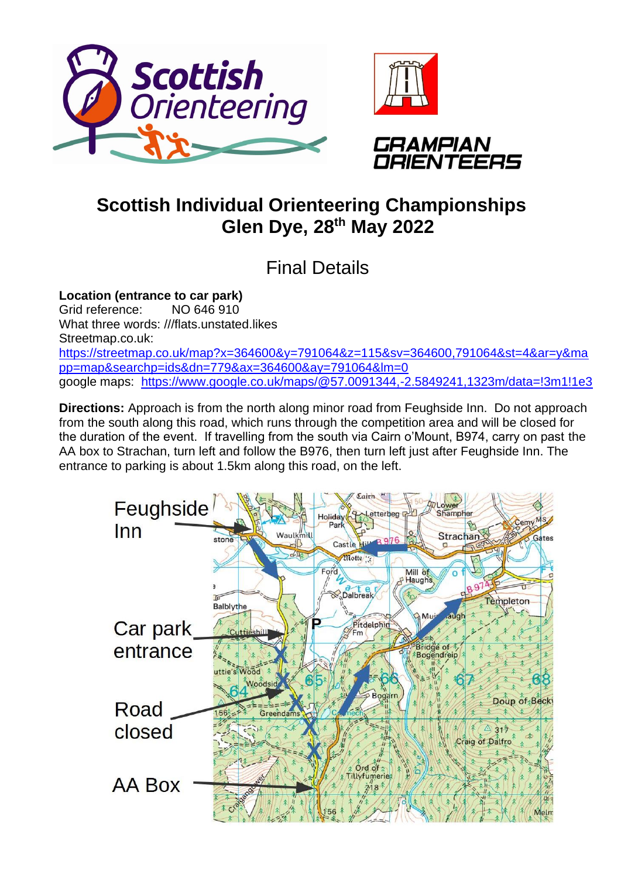





## **Scottish Individual Orienteering Championships Glen Dye, 28th May 2022**

Final Details

**Location (entrance to car park)** Grid reference: NO 646 910 What three words: ///flats.unstated.likes Streetmap.co.uk: [https://streetmap.co.uk/map?x=364600&y=791064&z=115&sv=364600,791064&st=4&ar=y&ma](https://streetmap.co.uk/map?x=364600&y=791064&z=115&sv=364600,791064&st=4&ar=y&mapp=map&searchp=ids&dn=779&ax=364600&ay=791064&lm=0) [pp=map&searchp=ids&dn=779&ax=364600&ay=791064&lm=0](https://streetmap.co.uk/map?x=364600&y=791064&z=115&sv=364600,791064&st=4&ar=y&mapp=map&searchp=ids&dn=779&ax=364600&ay=791064&lm=0) google maps: <https://www.google.co.uk/maps/@57.0091344,-2.5849241,1323m/data=!3m1!1e3>

**Directions:** Approach is from the north along minor road from Feughside Inn. Do not approach from the south along this road, which runs through the competition area and will be closed for the duration of the event. If travelling from the south via Cairn o'Mount, B974, carry on past the AA box to Strachan, turn left and follow the B976, then turn left just after Feughside Inn. The entrance to parking is about 1.5km along this road, on the left.

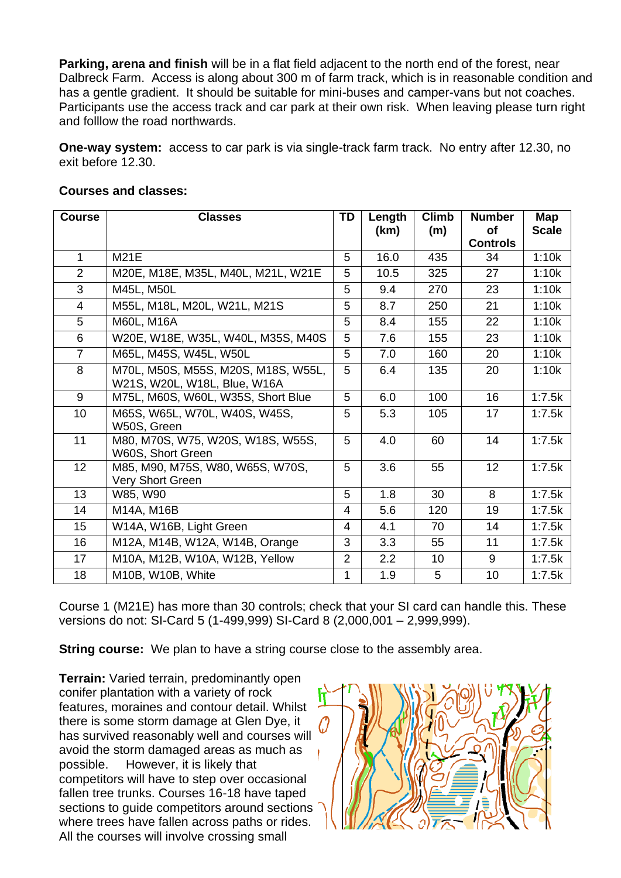**Parking, arena and finish** will be in a flat field adjacent to the north end of the forest, near Dalbreck Farm. Access is along about 300 m of farm track, which is in reasonable condition and has a gentle gradient. It should be suitable for mini-buses and camper-vans but not coaches. Participants use the access track and car park at their own risk. When leaving please turn right and folllow the road northwards.

**One-way system:** access to car park is via single-track farm track. No entry after 12.30, no exit before 12.30.

| <b>Course</b>  | <b>Classes</b>                                                      | <b>TD</b>      | Length<br>(km) | <b>Climb</b><br>(m) | <b>Number</b><br>οf | Map<br><b>Scale</b> |
|----------------|---------------------------------------------------------------------|----------------|----------------|---------------------|---------------------|---------------------|
|                |                                                                     |                |                |                     | <b>Controls</b>     |                     |
| $\mathbf 1$    | <b>M21E</b>                                                         | 5              | 16.0           | 435                 | 34                  | 1:10k               |
| $\overline{2}$ | M20E, M18E, M35L, M40L, M21L, W21E                                  | 5              | 10.5           | 325                 | 27                  | 1:10k               |
| 3              | M45L, M50L                                                          | 5              | 9.4            | 270                 | 23                  | 1:10k               |
| $\overline{4}$ | M55L, M18L, M20L, W21L, M21S                                        | 5              | 8.7            | 250                 | 21                  | 1:10k               |
| 5              | M60L, M16A                                                          | 5              | 8.4            | 155                 | 22                  | 1:10k               |
| 6              | W20E, W18E, W35L, W40L, M35S, M40S                                  | 5              | 7.6            | 155                 | 23                  | 1:10k               |
| $\overline{7}$ | M65L, M45S, W45L, W50L                                              | 5              | 7.0            | 160                 | 20                  | 1:10k               |
| 8              | M70L, M50S, M55S, M20S, M18S, W55L,<br>W21S, W20L, W18L, Blue, W16A | 5              | 6.4            | 135                 | 20                  | 1:10k               |
| 9              | M75L, M60S, W60L, W35S, Short Blue                                  | 5              | 6.0            | 100                 | 16                  | 1:7.5k              |
| 10             | M65S, W65L, W70L, W40S, W45S,<br>W50S, Green                        | 5              | 5.3            | 105                 | 17                  | 1:7.5k              |
| 11             | M80, M70S, W75, W20S, W18S, W55S,<br>W60S, Short Green              | 5              | 4.0            | 60                  | 14                  | 1:7.5k              |
| 12             | M85, M90, M75S, W80, W65S, W70S,<br>Very Short Green                | 5              | 3.6            | 55                  | 12                  | 1:7.5k              |
| 13             | W85, W90                                                            | 5              | 1.8            | 30                  | 8                   | 1:7.5k              |
| 14             | M14A, M16B                                                          | $\overline{4}$ | 5.6            | 120                 | 19                  | 1:7.5k              |
| 15             | W14A, W16B, Light Green                                             | 4              | 4.1            | 70                  | 14                  | 1:7.5k              |
| 16             | M12A, M14B, W12A, W14B, Orange                                      | 3              | 3.3            | 55                  | 11                  | 1:7.5k              |
| 17             | M10A, M12B, W10A, W12B, Yellow                                      | 2              | 2.2            | 10                  | 9                   | 1:7.5k              |
| 18             | M10B, W10B, White                                                   | 1              | 1.9            | 5                   | 10                  | 1:7.5k              |

## **Courses and classes:**

Course 1 (M21E) has more than 30 controls; check that your SI card can handle this. These versions do not: SI-Card 5 (1-499,999) SI-Card 8 (2,000,001 – 2,999,999).

**String course:** We plan to have a string course close to the assembly area.

**Terrain:** Varied terrain, predominantly open conifer plantation with a variety of rock features, moraines and contour detail. Whilst there is some storm damage at Glen Dye, it has survived reasonably well and courses will avoid the storm damaged areas as much as possible. However, it is likely that competitors will have to step over occasional fallen tree trunks. Courses 16-18 have taped sections to guide competitors around sections where trees have fallen across paths or rides. All the courses will involve crossing small

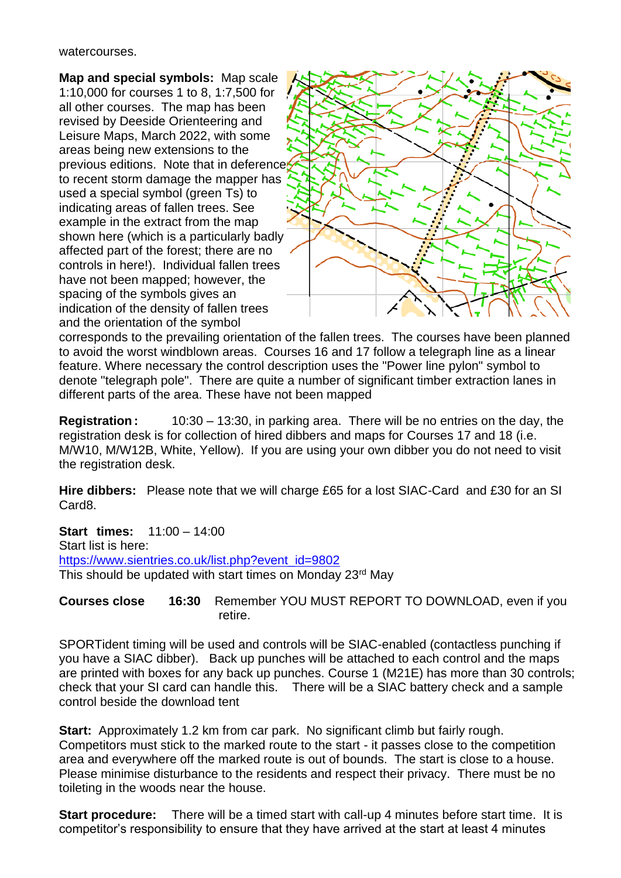## watercourses.

**Map and special symbols:** Map scale 1:10,000 for courses 1 to 8, 1:7,500 for all other courses. The map has been revised by Deeside Orienteering and Leisure Maps, March 2022, with some areas being new extensions to the previous editions. Note that in deference to recent storm damage the mapper has used a special symbol (green Ts) to indicating areas of fallen trees. See example in the extract from the map shown here (which is a particularly badly affected part of the forest; there are no controls in here!). Individual fallen trees have not been mapped; however, the spacing of the symbols gives an indication of the density of fallen trees and the orientation of the symbol



corresponds to the prevailing orientation of the fallen trees. The courses have been planned to avoid the worst windblown areas. Courses 16 and 17 follow a telegraph line as a linear feature. Where necessary the control description uses the "Power line pylon" symbol to denote "telegraph pole". There are quite a number of significant timber extraction lanes in different parts of the area. These have not been mapped

**Registration :** 10:30 – 13:30, in parking area. There will be no entries on the day, the registration desk is for collection of hired dibbers and maps for Courses 17 and 18 (i.e. M/W10, M/W12B, White, Yellow). If you are using your own dibber you do not need to visit the registration desk.

**Hire dibbers:** Please note that we will charge £65 for a lost SIAC-Card and £30 for an SI Card8.

**Start times:** 11:00 – 14:00 Start list is here: [https://www.sientries.co.uk/list.php?event\\_id=9802](https://www.sientries.co.uk/list.php?event_id=9802) This should be updated with start times on Monday 23rd May

**Courses close 16:30** Remember YOU MUST REPORT TO DOWNLOAD, even if you retire.

SPORTident timing will be used and controls will be SIAC-enabled (contactless punching if you have a SIAC dibber). Back up punches will be attached to each control and the maps are printed with boxes for any back up punches. Course 1 (M21E) has more than 30 controls; check that your SI card can handle this. There will be a SIAC battery check and a sample control beside the download tent

**Start:** Approximately 1.2 km from car park. No significant climb but fairly rough. Competitors must stick to the marked route to the start - it passes close to the competition area and everywhere off the marked route is out of bounds. The start is close to a house. Please minimise disturbance to the residents and respect their privacy. There must be no toileting in the woods near the house.

**Start procedure:** There will be a timed start with call-up 4 minutes before start time. It is competitor's responsibility to ensure that they have arrived at the start at least 4 minutes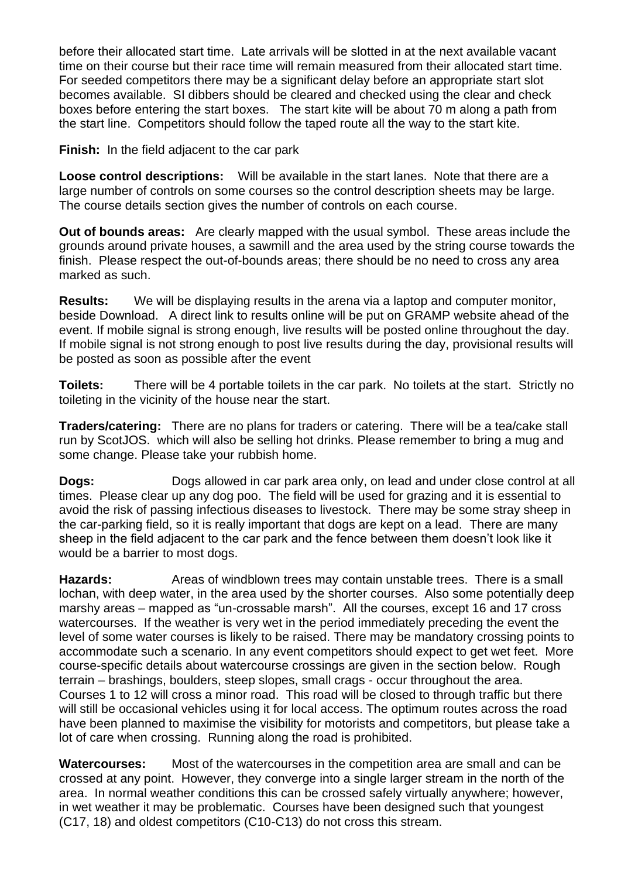before their allocated start time. Late arrivals will be slotted in at the next available vacant time on their course but their race time will remain measured from their allocated start time. For seeded competitors there may be a significant delay before an appropriate start slot becomes available. SI dibbers should be cleared and checked using the clear and check boxes before entering the start boxes. The start kite will be about 70 m along a path from the start line. Competitors should follow the taped route all the way to the start kite.

**Finish:** In the field adjacent to the car park

**Loose control descriptions:** Will be available in the start lanes. Note that there are a large number of controls on some courses so the control description sheets may be large. The course details section gives the number of controls on each course.

**Out of bounds areas:** Are clearly mapped with the usual symbol. These areas include the grounds around private houses, a sawmill and the area used by the string course towards the finish. Please respect the out-of-bounds areas; there should be no need to cross any area marked as such.

**Results:** We will be displaying results in the arena via a laptop and computer monitor, beside Download. A direct link to results online will be put on GRAMP website ahead of the event. If mobile signal is strong enough, live results will be posted online throughout the day. If mobile signal is not strong enough to post live results during the day, provisional results will be posted as soon as possible after the event

**Toilets:** There will be 4 portable toilets in the car park. No toilets at the start. Strictly no toileting in the vicinity of the house near the start.

**Traders/catering:** There are no plans for traders or catering. There will be a tea/cake stall run by ScotJOS. which will also be selling hot drinks. Please remember to bring a mug and some change. Please take your rubbish home.

**Dogs:** Dogs allowed in car park area only, on lead and under close control at all times. Please clear up any dog poo. The field will be used for grazing and it is essential to avoid the risk of passing infectious diseases to livestock. There may be some stray sheep in the car-parking field, so it is really important that dogs are kept on a lead. There are many sheep in the field adjacent to the car park and the fence between them doesn't look like it would be a barrier to most dogs.

**Hazards:** Areas of windblown trees may contain unstable trees. There is a small lochan, with deep water, in the area used by the shorter courses. Also some potentially deep marshy areas – mapped as "un-crossable marsh". All the courses, except 16 and 17 cross watercourses. If the weather is very wet in the period immediately preceding the event the level of some water courses is likely to be raised. There may be mandatory crossing points to accommodate such a scenario. In any event competitors should expect to get wet feet. More course-specific details about watercourse crossings are given in the section below. Rough terrain – brashings, boulders, steep slopes, small crags - occur throughout the area. Courses 1 to 12 will cross a minor road. This road will be closed to through traffic but there will still be occasional vehicles using it for local access. The optimum routes across the road have been planned to maximise the visibility for motorists and competitors, but please take a lot of care when crossing. Running along the road is prohibited.

**Watercourses:** Most of the watercourses in the competition area are small and can be crossed at any point. However, they converge into a single larger stream in the north of the area. In normal weather conditions this can be crossed safely virtually anywhere; however, in wet weather it may be problematic. Courses have been designed such that youngest (C17, 18) and oldest competitors (C10-C13) do not cross this stream.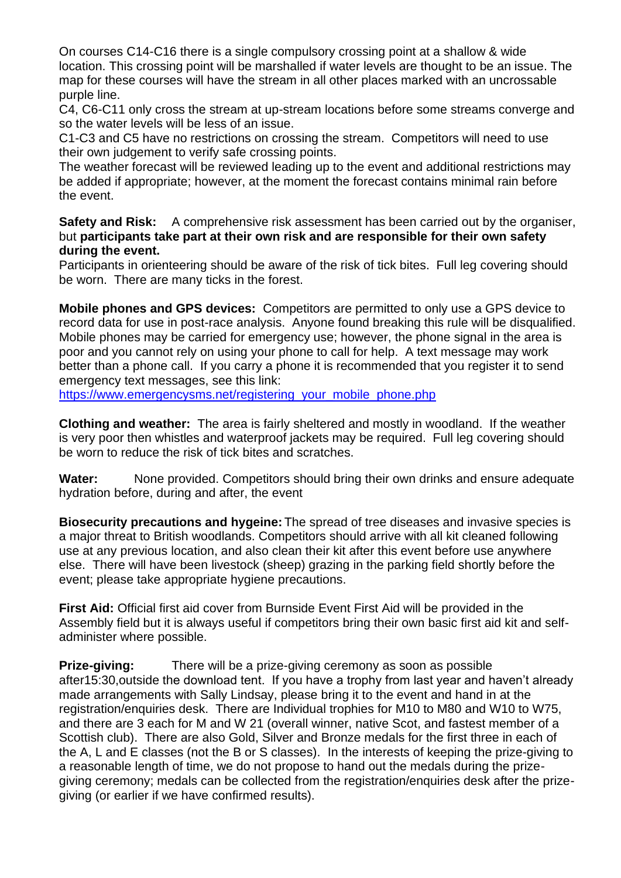On courses C14-C16 there is a single compulsory crossing point at a shallow & wide location. This crossing point will be marshalled if water levels are thought to be an issue. The map for these courses will have the stream in all other places marked with an uncrossable purple line.

C4, C6-C11 only cross the stream at up-stream locations before some streams converge and so the water levels will be less of an issue.

C1-C3 and C5 have no restrictions on crossing the stream. Competitors will need to use their own judgement to verify safe crossing points.

The weather forecast will be reviewed leading up to the event and additional restrictions may be added if appropriate; however, at the moment the forecast contains minimal rain before the event.

**Safety and Risk:** A comprehensive risk assessment has been carried out by the organiser, but **participants take part at their own risk and are responsible for their own safety during the event.**

Participants in orienteering should be aware of the risk of tick bites. Full leg covering should be worn. There are many ticks in the forest.

**Mobile phones and GPS devices:** Competitors are permitted to only use a GPS device to record data for use in post-race analysis. Anyone found breaking this rule will be disqualified. Mobile phones may be carried for emergency use; however, the phone signal in the area is poor and you cannot rely on using your phone to call for help. A text message may work better than a phone call. If you carry a phone it is recommended that you register it to send emergency text messages, see this link:

[https://www.emergencysms.net/registering\\_your\\_mobile\\_phone.php](https://www.emergencysms.net/registering_your_mobile_phone.php)

**Clothing and weather:** The area is fairly sheltered and mostly in woodland. If the weather is very poor then whistles and waterproof jackets may be required. Full leg covering should be worn to reduce the risk of tick bites and scratches.

**Water:** None provided. Competitors should bring their own drinks and ensure adequate hydration before, during and after, the event

**Biosecurity precautions and hygeine:** The spread of tree diseases and invasive species is a major threat to British woodlands. Competitors should arrive with all kit cleaned following use at any previous location, and also clean their kit after this event before use anywhere else. There will have been livestock (sheep) grazing in the parking field shortly before the event; please take appropriate hygiene precautions.

**First Aid:** Official first aid cover from Burnside Event First Aid will be provided in the Assembly field but it is always useful if competitors bring their own basic first aid kit and selfadminister where possible.

**Prize-giving:** There will be a prize-giving ceremony as soon as possible after15:30,outside the download tent. If you have a trophy from last year and haven't already made arrangements with Sally Lindsay, please bring it to the event and hand in at the registration/enquiries desk. There are Individual trophies for M10 to M80 and W10 to W75, and there are 3 each for M and W 21 (overall winner, native Scot, and fastest member of a Scottish club). There are also Gold, Silver and Bronze medals for the first three in each of the A, L and E classes (not the B or S classes). In the interests of keeping the prize-giving to a reasonable length of time, we do not propose to hand out the medals during the prizegiving ceremony; medals can be collected from the registration/enquiries desk after the prizegiving (or earlier if we have confirmed results).